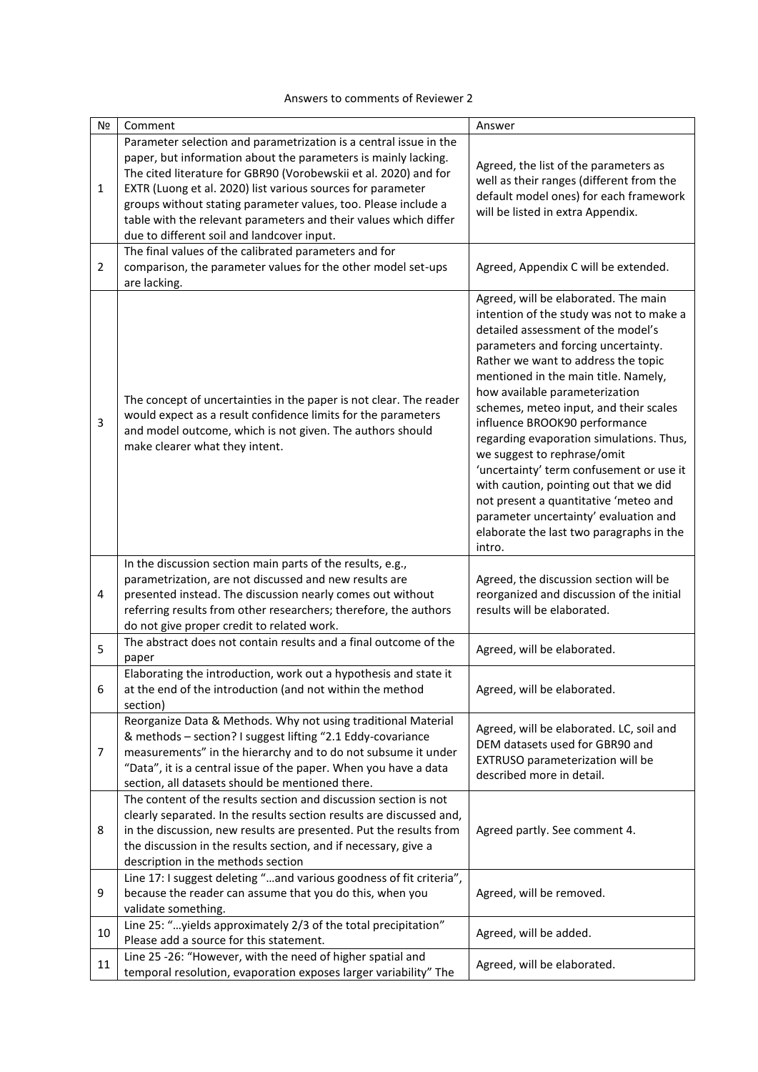## Answers to comments of Reviewer 2

| N <sub>2</sub> | Comment                                                                                                                                                                                                                                                                                                                                                                               | Answer                                                                                                                                                                                                                                                                                                                                                                                                                                                                                                                                                                                                                                                             |
|----------------|---------------------------------------------------------------------------------------------------------------------------------------------------------------------------------------------------------------------------------------------------------------------------------------------------------------------------------------------------------------------------------------|--------------------------------------------------------------------------------------------------------------------------------------------------------------------------------------------------------------------------------------------------------------------------------------------------------------------------------------------------------------------------------------------------------------------------------------------------------------------------------------------------------------------------------------------------------------------------------------------------------------------------------------------------------------------|
|                | Parameter selection and parametrization is a central issue in the                                                                                                                                                                                                                                                                                                                     |                                                                                                                                                                                                                                                                                                                                                                                                                                                                                                                                                                                                                                                                    |
| $\mathbf{1}$   | paper, but information about the parameters is mainly lacking.<br>The cited literature for GBR90 (Vorobewskii et al. 2020) and for<br>EXTR (Luong et al. 2020) list various sources for parameter<br>groups without stating parameter values, too. Please include a<br>table with the relevant parameters and their values which differ<br>due to different soil and landcover input. | Agreed, the list of the parameters as<br>well as their ranges (different from the<br>default model ones) for each framework<br>will be listed in extra Appendix.                                                                                                                                                                                                                                                                                                                                                                                                                                                                                                   |
|                | The final values of the calibrated parameters and for                                                                                                                                                                                                                                                                                                                                 |                                                                                                                                                                                                                                                                                                                                                                                                                                                                                                                                                                                                                                                                    |
| $\overline{2}$ | comparison, the parameter values for the other model set-ups<br>are lacking.                                                                                                                                                                                                                                                                                                          | Agreed, Appendix C will be extended.                                                                                                                                                                                                                                                                                                                                                                                                                                                                                                                                                                                                                               |
| 3              | The concept of uncertainties in the paper is not clear. The reader<br>would expect as a result confidence limits for the parameters<br>and model outcome, which is not given. The authors should<br>make clearer what they intent.                                                                                                                                                    | Agreed, will be elaborated. The main<br>intention of the study was not to make a<br>detailed assessment of the model's<br>parameters and forcing uncertainty.<br>Rather we want to address the topic<br>mentioned in the main title. Namely,<br>how available parameterization<br>schemes, meteo input, and their scales<br>influence BROOK90 performance<br>regarding evaporation simulations. Thus,<br>we suggest to rephrase/omit<br>'uncertainty' term confusement or use it<br>with caution, pointing out that we did<br>not present a quantitative 'meteo and<br>parameter uncertainty' evaluation and<br>elaborate the last two paragraphs in the<br>intro. |
| 4              | In the discussion section main parts of the results, e.g.,<br>parametrization, are not discussed and new results are<br>presented instead. The discussion nearly comes out without<br>referring results from other researchers; therefore, the authors<br>do not give proper credit to related work.                                                                                  | Agreed, the discussion section will be<br>reorganized and discussion of the initial<br>results will be elaborated.                                                                                                                                                                                                                                                                                                                                                                                                                                                                                                                                                 |
| 5              | The abstract does not contain results and a final outcome of the<br>paper                                                                                                                                                                                                                                                                                                             | Agreed, will be elaborated.                                                                                                                                                                                                                                                                                                                                                                                                                                                                                                                                                                                                                                        |
| 6              | Elaborating the introduction, work out a hypothesis and state it<br>at the end of the introduction (and not within the method<br>section)                                                                                                                                                                                                                                             | Agreed, will be elaborated.                                                                                                                                                                                                                                                                                                                                                                                                                                                                                                                                                                                                                                        |
| 7              | Reorganize Data & Methods. Why not using traditional Material<br>& methods - section? I suggest lifting "2.1 Eddy-covariance<br>measurements" in the hierarchy and to do not subsume it under<br>"Data", it is a central issue of the paper. When you have a data<br>section, all datasets should be mentioned there.                                                                 | Agreed, will be elaborated. LC, soil and<br>DEM datasets used for GBR90 and<br>EXTRUSO parameterization will be<br>described more in detail.                                                                                                                                                                                                                                                                                                                                                                                                                                                                                                                       |
| 8              | The content of the results section and discussion section is not<br>clearly separated. In the results section results are discussed and,<br>in the discussion, new results are presented. Put the results from<br>the discussion in the results section, and if necessary, give a<br>description in the methods section                                                               | Agreed partly. See comment 4.                                                                                                                                                                                                                                                                                                                                                                                                                                                                                                                                                                                                                                      |
| 9              | Line 17: I suggest deleting "and various goodness of fit criteria",<br>because the reader can assume that you do this, when you<br>validate something.                                                                                                                                                                                                                                | Agreed, will be removed.                                                                                                                                                                                                                                                                                                                                                                                                                                                                                                                                                                                                                                           |
| 10             | Line 25: "yields approximately 2/3 of the total precipitation"<br>Please add a source for this statement.                                                                                                                                                                                                                                                                             | Agreed, will be added.                                                                                                                                                                                                                                                                                                                                                                                                                                                                                                                                                                                                                                             |
| 11             | Line 25 -26: "However, with the need of higher spatial and<br>temporal resolution, evaporation exposes larger variability" The                                                                                                                                                                                                                                                        | Agreed, will be elaborated.                                                                                                                                                                                                                                                                                                                                                                                                                                                                                                                                                                                                                                        |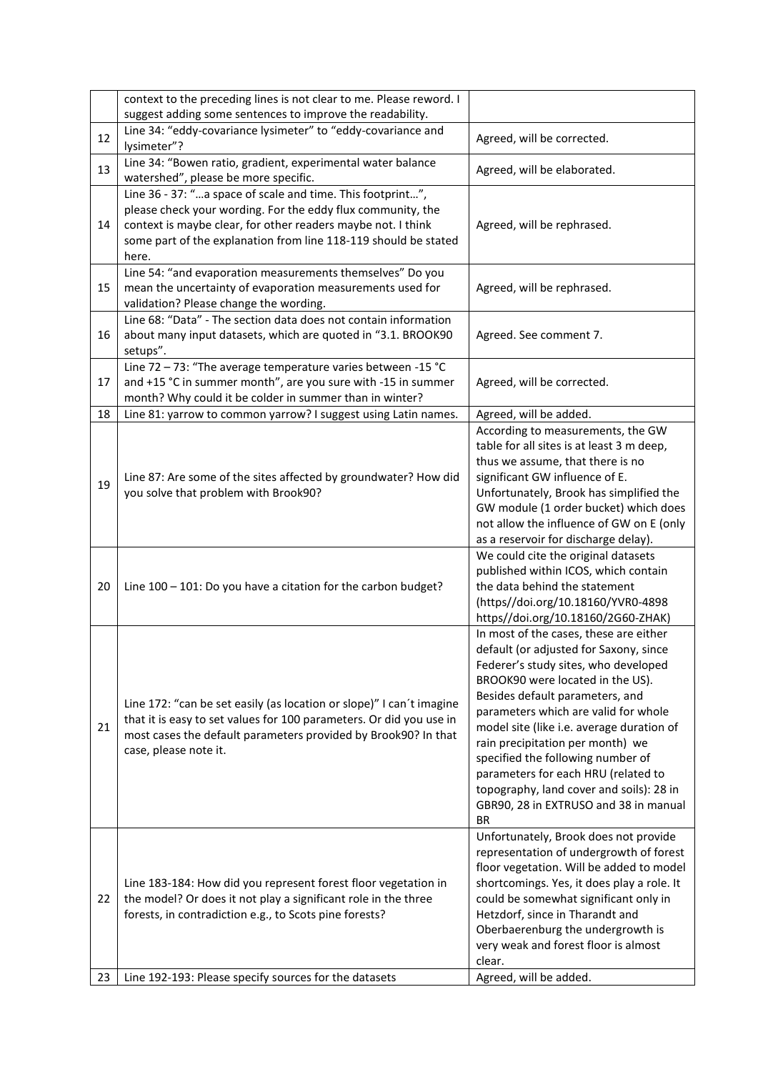|    | context to the preceding lines is not clear to me. Please reword. I<br>suggest adding some sentences to improve the readability.                                                                                                                                      |                                                                                                                                                                                                                                                                                                                                                                                                                                                                                                        |
|----|-----------------------------------------------------------------------------------------------------------------------------------------------------------------------------------------------------------------------------------------------------------------------|--------------------------------------------------------------------------------------------------------------------------------------------------------------------------------------------------------------------------------------------------------------------------------------------------------------------------------------------------------------------------------------------------------------------------------------------------------------------------------------------------------|
| 12 | Line 34: "eddy-covariance lysimeter" to "eddy-covariance and<br>lysimeter"?                                                                                                                                                                                           | Agreed, will be corrected.                                                                                                                                                                                                                                                                                                                                                                                                                                                                             |
| 13 | Line 34: "Bowen ratio, gradient, experimental water balance<br>watershed", please be more specific.                                                                                                                                                                   | Agreed, will be elaborated.                                                                                                                                                                                                                                                                                                                                                                                                                                                                            |
| 14 | Line 36 - 37: "a space of scale and time. This footprint",<br>please check your wording. For the eddy flux community, the<br>context is maybe clear, for other readers maybe not. I think<br>some part of the explanation from line 118-119 should be stated<br>here. | Agreed, will be rephrased.                                                                                                                                                                                                                                                                                                                                                                                                                                                                             |
| 15 | Line 54: "and evaporation measurements themselves" Do you<br>mean the uncertainty of evaporation measurements used for<br>validation? Please change the wording.                                                                                                      | Agreed, will be rephrased.                                                                                                                                                                                                                                                                                                                                                                                                                                                                             |
| 16 | Line 68: "Data" - The section data does not contain information<br>about many input datasets, which are quoted in "3.1. BROOK90<br>setups".                                                                                                                           | Agreed. See comment 7.                                                                                                                                                                                                                                                                                                                                                                                                                                                                                 |
| 17 | Line 72 - 73: "The average temperature varies between -15 °C<br>and +15 °C in summer month", are you sure with -15 in summer<br>month? Why could it be colder in summer than in winter?                                                                               | Agreed, will be corrected.                                                                                                                                                                                                                                                                                                                                                                                                                                                                             |
| 18 | Line 81: yarrow to common yarrow? I suggest using Latin names.                                                                                                                                                                                                        | Agreed, will be added.                                                                                                                                                                                                                                                                                                                                                                                                                                                                                 |
| 19 | Line 87: Are some of the sites affected by groundwater? How did<br>you solve that problem with Brook90?                                                                                                                                                               | According to measurements, the GW<br>table for all sites is at least 3 m deep,<br>thus we assume, that there is no<br>significant GW influence of E.<br>Unfortunately, Brook has simplified the<br>GW module (1 order bucket) which does<br>not allow the influence of GW on E (only<br>as a reservoir for discharge delay).                                                                                                                                                                           |
| 20 | Line 100 - 101: Do you have a citation for the carbon budget?                                                                                                                                                                                                         | We could cite the original datasets<br>published within ICOS, which contain<br>the data behind the statement<br>(https//doi.org/10.18160/YVR0-4898<br>https//doi.org/10.18160/2G60-ZHAK)                                                                                                                                                                                                                                                                                                               |
| 21 | Line 172: "can be set easily (as location or slope)" I can't imagine<br>that it is easy to set values for 100 parameters. Or did you use in<br>most cases the default parameters provided by Brook90? In that<br>case, please note it.                                | In most of the cases, these are either<br>default (or adjusted for Saxony, since<br>Federer's study sites, who developed<br>BROOK90 were located in the US).<br>Besides default parameters, and<br>parameters which are valid for whole<br>model site (like i.e. average duration of<br>rain precipitation per month) we<br>specified the following number of<br>parameters for each HRU (related to<br>topography, land cover and soils): 28 in<br>GBR90, 28 in EXTRUSO and 38 in manual<br><b>BR</b> |
| 22 | Line 183-184: How did you represent forest floor vegetation in<br>the model? Or does it not play a significant role in the three<br>forests, in contradiction e.g., to Scots pine forests?                                                                            | Unfortunately, Brook does not provide<br>representation of undergrowth of forest<br>floor vegetation. Will be added to model<br>shortcomings. Yes, it does play a role. It<br>could be somewhat significant only in<br>Hetzdorf, since in Tharandt and<br>Oberbaerenburg the undergrowth is<br>very weak and forest floor is almost<br>clear.                                                                                                                                                          |
| 23 | Line 192-193: Please specify sources for the datasets                                                                                                                                                                                                                 | Agreed, will be added.                                                                                                                                                                                                                                                                                                                                                                                                                                                                                 |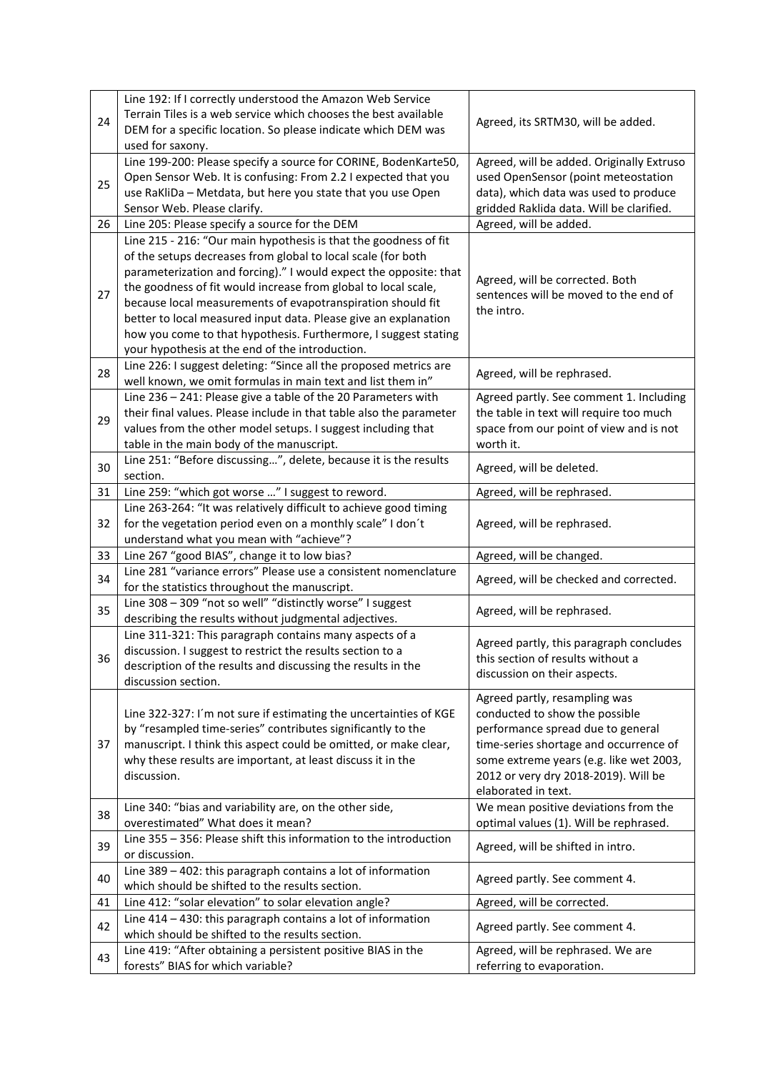|    | Line 192: If I correctly understood the Amazon Web Service          |                                                     |
|----|---------------------------------------------------------------------|-----------------------------------------------------|
|    | Terrain Tiles is a web service which chooses the best available     |                                                     |
| 24 | DEM for a specific location. So please indicate which DEM was       | Agreed, its SRTM30, will be added.                  |
|    | used for saxony.                                                    |                                                     |
|    | Line 199-200: Please specify a source for CORINE, BodenKarte50,     | Agreed, will be added. Originally Extruso           |
| 25 | Open Sensor Web. It is confusing: From 2.2 I expected that you      | used OpenSensor (point meteostation                 |
|    | use RaKliDa - Metdata, but here you state that you use Open         | data), which data was used to produce               |
|    | Sensor Web. Please clarify.                                         | gridded Raklida data. Will be clarified.            |
| 26 | Line 205: Please specify a source for the DEM                       | Agreed, will be added.                              |
|    | Line 215 - 216: "Our main hypothesis is that the goodness of fit    |                                                     |
| 27 | of the setups decreases from global to local scale (for both        |                                                     |
|    | parameterization and forcing)." I would expect the opposite: that   |                                                     |
|    | the goodness of fit would increase from global to local scale,      | Agreed, will be corrected. Both                     |
|    | because local measurements of evapotranspiration should fit         | sentences will be moved to the end of<br>the intro. |
|    | better to local measured input data. Please give an explanation     |                                                     |
|    | how you come to that hypothesis. Furthermore, I suggest stating     |                                                     |
|    | your hypothesis at the end of the introduction.                     |                                                     |
| 28 | Line 226: I suggest deleting: "Since all the proposed metrics are   | Agreed, will be rephrased.                          |
|    | well known, we omit formulas in main text and list them in"         |                                                     |
|    | Line 236 - 241: Please give a table of the 20 Parameters with       | Agreed partly. See comment 1. Including             |
| 29 | their final values. Please include in that table also the parameter | the table in text will require too much             |
|    | values from the other model setups. I suggest including that        | space from our point of view and is not             |
|    | table in the main body of the manuscript.                           | worth it.                                           |
| 30 | Line 251: "Before discussing", delete, because it is the results    | Agreed, will be deleted.                            |
|    | section.                                                            |                                                     |
| 31 | Line 259: "which got worse " I suggest to reword.                   | Agreed, will be rephrased.                          |
|    | Line 263-264: "It was relatively difficult to achieve good timing   |                                                     |
| 32 | for the vegetation period even on a monthly scale" I don't          | Agreed, will be rephrased.                          |
|    | understand what you mean with "achieve"?                            |                                                     |
| 33 | Line 267 "good BIAS", change it to low bias?                        | Agreed, will be changed.                            |
| 34 | Line 281 "variance errors" Please use a consistent nomenclature     | Agreed, will be checked and corrected.              |
|    | for the statistics throughout the manuscript.                       |                                                     |
| 35 | Line 308 - 309 "not so well" "distinctly worse" I suggest           | Agreed, will be rephrased.                          |
|    | describing the results without judgmental adjectives.               |                                                     |
|    | Line 311-321: This paragraph contains many aspects of a             | Agreed partly, this paragraph concludes             |
| 36 | discussion. I suggest to restrict the results section to a          | this section of results without a                   |
|    | description of the results and discussing the results in the        | discussion on their aspects.                        |
|    | discussion section.                                                 |                                                     |
|    |                                                                     | Agreed partly, resampling was                       |
|    | Line 322-327: I'm not sure if estimating the uncertainties of KGE   | conducted to show the possible                      |
|    | by "resampled time-series" contributes significantly to the         | performance spread due to general                   |
| 37 | manuscript. I think this aspect could be omitted, or make clear,    | time-series shortage and occurrence of              |
|    | why these results are important, at least discuss it in the         | some extreme years (e.g. like wet 2003,             |
|    | discussion.                                                         | 2012 or very dry 2018-2019). Will be                |
|    |                                                                     | elaborated in text.                                 |
| 38 | Line 340: "bias and variability are, on the other side,             | We mean positive deviations from the                |
|    | overestimated" What does it mean?                                   | optimal values (1). Will be rephrased.              |
| 39 | Line 355 - 356: Please shift this information to the introduction   | Agreed, will be shifted in intro.                   |
|    | or discussion.                                                      |                                                     |
| 40 | Line 389 - 402: this paragraph contains a lot of information        | Agreed partly. See comment 4.                       |
|    | which should be shifted to the results section.                     |                                                     |
| 41 | Line 412: "solar elevation" to solar elevation angle?               | Agreed, will be corrected.                          |
| 42 | Line 414 - 430: this paragraph contains a lot of information        | Agreed partly. See comment 4.                       |
|    | which should be shifted to the results section.                     |                                                     |
| 43 | Line 419: "After obtaining a persistent positive BIAS in the        | Agreed, will be rephrased. We are                   |
|    | forests" BIAS for which variable?                                   | referring to evaporation.                           |